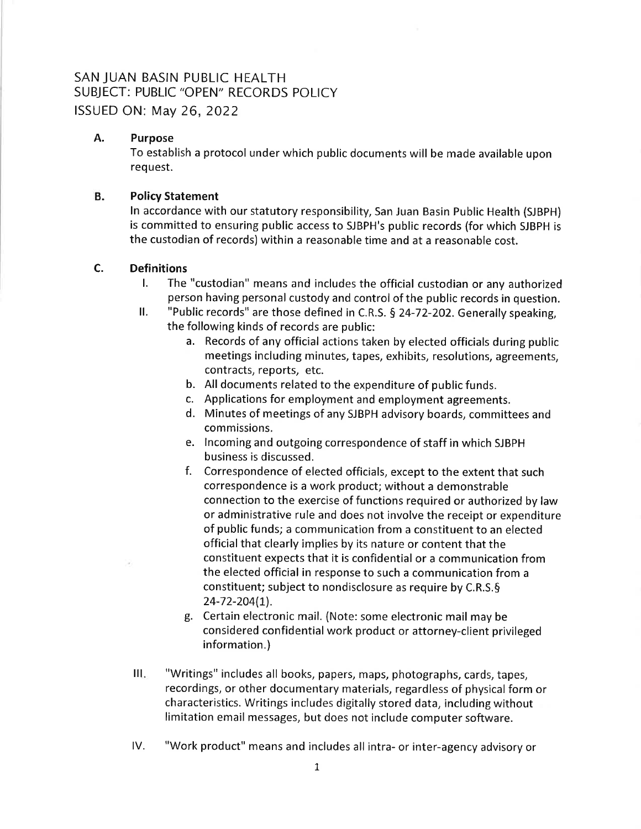# SAN JUAN BASIN PUBLIC HEALTH SUBJECT: PUBLIC "OPEN" RECORDS POLICY ISSUED ON: May 26, 2022

# A. Purpose

To establish a protocol under which public documents will be made available upon req uest.

#### В. Policy Statement

ln accordance with our statutory responsibility, San Juan Basin Public Health (SJBPH) is committed to ensuring public access to SJBPH's public records (for which SJBPH is the custodian of records) within a reasonable time and at a reasonable cost.

#### c. **Definitions**

- l. The "custodian" means and includes the official custodian or any authorized person having personal custody and control of the public records in question.
- II. "Public records" are those defined in C.R.S. § 24-72-202. Generally speaking, the following kinds of records are public:
	- a. Records of any official actions taken by elected officials during public meetings including minutes, tapes, exhibits, resolutions, agreements, contracts, reports, etc.
	- b. All documents related to the expenditure of public funds.
	- c. Applications for employment and employment agreements.
	- d. Minutes of meetings of any SJBPH advisory boards, committees and commissions.
	- e. lncoming and outgoing correspondence of staff in which SJBPH business is discussed.
	- f. Correspondence of elected officials, except to the extent that such correspondence is a work product; without a demonstrable connection to the exercise of functions required or authorized by law or administrative rule and does not involve the receipt or expenditure of public funds; a communication from a constituent to an elected official that clearly implies by its nature or content that the constituent expects that it is confidential or a communication from the elected official in response to such a communication from <sup>a</sup> constituent; subject to nondisclosure as require by C.R.S.§ 24-72-204(1).
	- g. Certain electronic mail. (Note: some electronic mail may be considered confidential work product or attorney-client privileged information.)
- III. "Writings" includes all books, papers, maps, photographs, cards, tapes, recordings, or other documentary materials, regardless of physical form or characteristics. Writings includes digitally stored data, including without limitation email messages, but does not include computer software.
- lV. "Work product" means and includes all intra- or inter-agency advisory or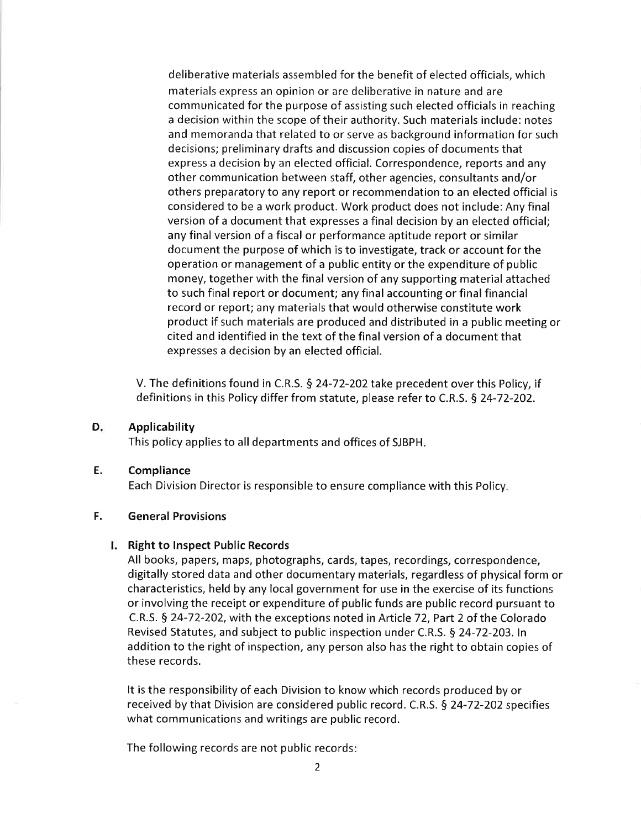deliberative materials assembled for the benefit of elected officials, which materials express an opinion or are deliberative in nature and are communicated for the purpose of assisting such elected officials in reaching a decision within the scope of their authority. Such materials include: notes and memoranda that related to or serve as background information for such decisions; preliminary drafts and discussion copies of documents that express a decision by an elected official. Correspondence, reports and any other communication between staff, other agencies, consultants and/or others preparatory to any report or recommendation to an elected official is considered to be a work product. Work product does not include: Any final version of a document that expresses a final decision by an elected official; any final version of a fiscal or performance aptitude report or similar document the purpose of which is to investigate, track or account for the operation or management of a public entity or the expenditure of public money, together with the final version of any supporting material attached to such final report or document; any final accounting or final financial record or report; any materials that would otherwise constitute work product if such materials are produced and distributed in a public meeting or cited and identified in the text of the final version of a document that expresses a decision by an elected official.

V. The definitions found in C.R.S.  $\S$  24-72-202 take precedent over this Policy, if definitions in this Policy differ from statute, please refer to C.R.S. § 24-72-202.

Applicability  $D_{\overline{r}}$ 

This policy applies to all departments and offices of SJBPH

**Compliance** E.

Each Division Director is responsible to ensure compliance with this Policy

### F. General Provisions

### **I.** Right to Inspect Public Records

All books, papers, maps, photographs, cards, tapes, recordings, correspondence, digitally stored data and other documentary materials, regardless of physical form or characteristics, held by any local government for use in the exercise of its functions or involving the receipt or expenditure of public funds are public record pursuant to C.R.S. § 24-72-202, with the exceptions noted in Article 72, Part 2 of the Colorado Revised Statutes, and subject to public inspection under C.R.S. 5 24-72-203.ln addition to the right of inspection, any person also has the right to obtain copies of these records.

It is the responsibility of each Division to know which records produced by or received by that Division are considered public record. C.R.S. § 24-72-202 specifies what communications and writings are public record.

The following records are not public records: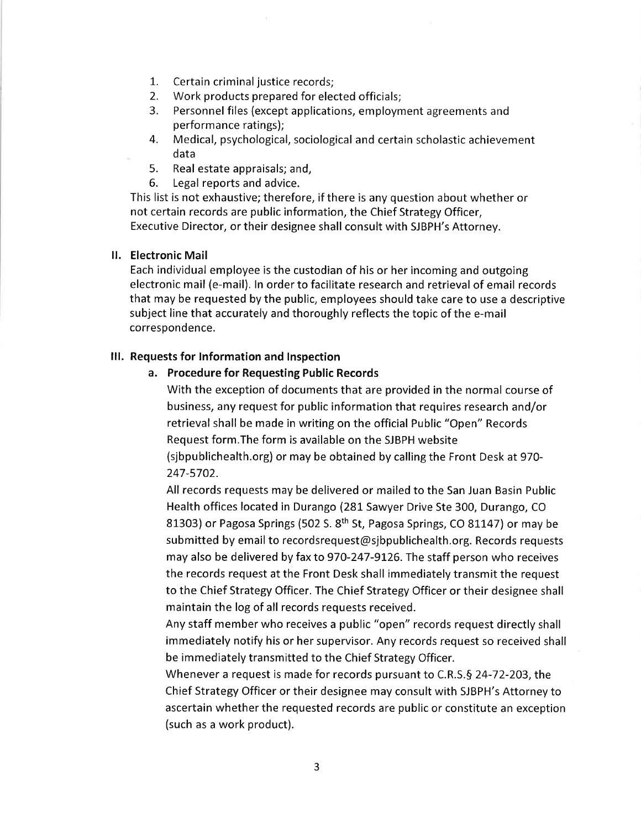- 1. Certain criminal justice records;
- 2. Work products prepared for elected officials;
- 3. Personnel files (except applications, employment agreements and performance ratings);
- 4. Medical, psychological, sociological and certain scholastic achievement data<br>5. Real
- 5. Real estate appraisals; and,
- 6. Legal reports and advice.

This list is not exhaustive; therefore, if there is any question about whether or not certain records are public information, the Chief Strategy Officer, Executive Director, or their designee shall consult with SJBPH's Attorney.

# ll. Electronic Mail

Each individual employee is the custodian of his or her incoming and outgoing electronic mail (e-mail). ln order to facilitate research and retrieval of email records that may be requested by the public, employees should take care to use a descriptive subject line that accurately and thoroughly reflects the topic of the e-mail correspondence.

# lll. Requests for lnformation and lnspection

### a. Procedure for Requesting Public Records

With the exception of documents that are provided in the normal course of business, any request for public information that requires research and/or retrieval shall be made in writing on the official Public "Open" Records Request form.The form is available on the SJBPH website (sjbpublichealth.org) or may be obtained by calling the Front Desk at 970- 247-5702.

All records requests may be delivered or mailed to the San Juan Basin Public Health offices located in Durango (281 Sawyer Drive Ste 300, Durango, CO 81303) or Pagosa Springs (502 S. 8<sup>th</sup> St, Pagosa Springs, CO 81147) or may be submitted by email to recordsrequest@sjbpublichealth.org. Records requests may also be delivered by fax to 970-247-9t26. The staff person who receives the records request at the Front Desk shall immediately transmit the request to the Chief Strategy Officer. The Chief Strategy Officer or their designee shall maintain the log of all records requests received.

Any staff member who receives a public "open" records request directly shall immediately notify his or her supervisor. Any records request so received shall be immediately transmitted to the Chief Strategy Officer.

Whenever a request is made for records pursuant to C.R.S.§ 24-72-203, the Chief Strategy Officer or their designee may consult with SJBPH's Attorney to ascertain whether the requested records are public or constitute an exception (such as a work product).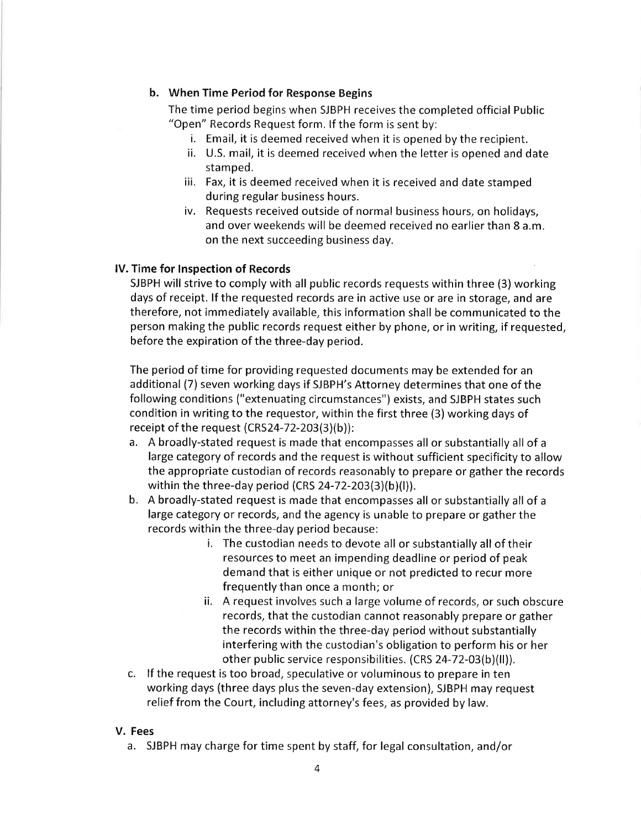# b. When Time Period for Response Begins

The time period begins when SJBPH receives the completed official Public "Open" Records Request form. lf the form is sent by:

- i. Email, it is deemed received when it is opened by the recipient.
- ii. U.S. mail, it is deemed received when the letter is opened and date stamped.
- iii, Fax, it is deemed received when it is received and date stamped during regular business hours.
- iv. Requests received outside of normal business hours, on holidays, and over weekends will be deemed received no earlier than 8 a.m. on the next succeeding business day.

### lV. Time for lnspection of Records

SJBPH will strive to comply with all public records requests within three (3) working days of receipt. lf the requested records are in active use or are in storage, and are therefore, not immediately available, this information shall be communicated to the person making the public records request either by phone, or in writing, if requested, before the expiration of the three-day period.

The period of time for providing requested documents may be extended for an additional (7) seven working days if SJBPH's Attorney determines that one of the following conditions ("extenuating circumstances") exists, and SJBPH states such condition in writing to the requestor, within the first three (3) working days of receipt of the request (CRS24-72-203(3)(b)):

- a. A broadly-stated request is made that encompasses all or substantially all of <sup>a</sup> large category of records and the request is without sufficient specificity to allow the appropriate custodian of records reasonably to prepare or gather the records within the three-day period (CRS 24-72-203(3)(b)(l)).
- b. A broadly-stated request is made that encompasses all or substantially all of <sup>a</sup> large category or records, and the agency is unable to prepare or gather the records within the three-day period because:
	- i. The custodian needs to devote all or substantially all of their resources to meet an impending deadline or period of peak demand that is either unique or not predicted to recur more frequently than once a month; or
	- ii. A request involves such a large volume of records, or such obscure records, that the custodian cannot reasonably prepare or gather the records within the three-day period without substantially interfering with the custodian's obligation to perform his or her other public service responsibilities.  $(CRS 24-72-03(b)(II)).$
- c. lf the request is too broad, speculative or voluminous to prepare in ten working days (three days plus the seven-day extension), SJBPH may request relief from the Court, including attorney's fees, as provided by law,

### V. Fees

a. SJBPH may charge for time spent by staff, for legal consultation, and/or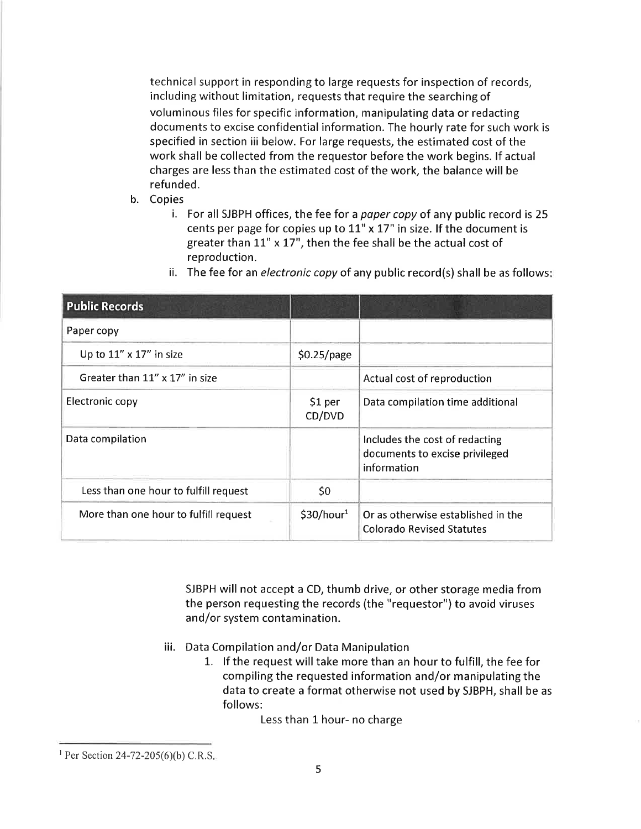technical support in responding to large requests for inspection of records, including without limitation, requests that require the searching of voluminous files for specific information, manipulating data or redacting documents to excise confidential information. The hourly rate for such work is specified in section iii below. For large requests, the estimated cost of the work shall be collected from the requestor before the work begins. lf actual charges are less than the estimated cost of the work, the balance will be refunded.

- b. Copies
	- i. For all SJBPH offices, the fee for a paper copy of any public record is 25 cents per page for copies up to  $11" \times 17"$  in size. If the document is greater than  $11"$  x  $17"$ , then the fee shall be the actual cost of reproduction.

| <b>Public Records</b>                 |                        |                                                                                 |
|---------------------------------------|------------------------|---------------------------------------------------------------------------------|
| Paper copy                            |                        |                                                                                 |
| Up to $11'' \times 17''$ in size      | \$0.25/page            |                                                                                 |
| Greater than 11" x 17" in size        |                        | Actual cost of reproduction                                                     |
| Electronic copy                       | \$1 per<br>CD/DVD      | Data compilation time additional                                                |
| Data compilation                      |                        | Includes the cost of redacting<br>documents to excise privileged<br>information |
| Less than one hour to fulfill request | \$0                    |                                                                                 |
| More than one hour to fulfill request | \$30/hour <sup>1</sup> | Or as otherwise established in the<br><b>Colorado Revised Statutes</b>          |

ii. The fee for an electronic copy of any public record(s) shall be as follows:

SJBPH will not accept a CD, thumb drive, or other storage media from the person requesting the records (the "requestor") to avoid viruses and/or system contamination.

- iii. Data Compilation and/or Data Manipulation
	- L. lf the request will take more than an hour to fulfill, the fee for compiling the requested information and/or manipulating the data to create a format otherwise not used by SJBPH, shall be as follows:

Less than 1 hour- no charge

<sup>&</sup>lt;sup>1</sup> Per Section 24-72-205(6)(b) C.R.S.